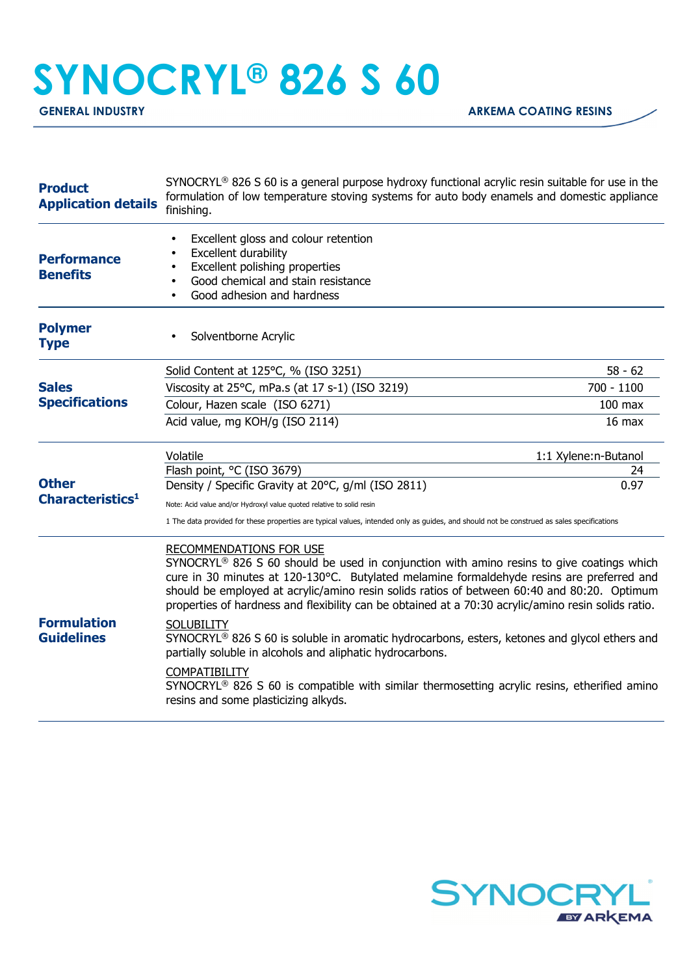## **SYNOCRYL® 826 S 60**

| <b>Product</b><br><b>Application details</b> | SYNOCRYL <sup>®</sup> 826 S 60 is a general purpose hydroxy functional acrylic resin suitable for use in the<br>formulation of low temperature stoving systems for auto body enamels and domestic appliance<br>finishing.                                                                                                                                                                                                                                                                                                                                                                                                                                                                                                                                                    |                      |
|----------------------------------------------|------------------------------------------------------------------------------------------------------------------------------------------------------------------------------------------------------------------------------------------------------------------------------------------------------------------------------------------------------------------------------------------------------------------------------------------------------------------------------------------------------------------------------------------------------------------------------------------------------------------------------------------------------------------------------------------------------------------------------------------------------------------------------|----------------------|
| <b>Performance</b><br><b>Benefits</b>        | Excellent gloss and colour retention<br>Excellent durability<br>Excellent polishing properties<br>$\bullet$<br>Good chemical and stain resistance<br>$\bullet$<br>Good adhesion and hardness<br>$\bullet$                                                                                                                                                                                                                                                                                                                                                                                                                                                                                                                                                                    |                      |
| <b>Polymer</b><br><b>Type</b>                | Solventborne Acrylic                                                                                                                                                                                                                                                                                                                                                                                                                                                                                                                                                                                                                                                                                                                                                         |                      |
| <b>Sales</b><br><b>Specifications</b>        | Solid Content at 125°C, % (ISO 3251)                                                                                                                                                                                                                                                                                                                                                                                                                                                                                                                                                                                                                                                                                                                                         | $58 - 62$            |
|                                              | Viscosity at 25°C, mPa.s (at 17 s-1) (ISO 3219)                                                                                                                                                                                                                                                                                                                                                                                                                                                                                                                                                                                                                                                                                                                              | 700 - 1100           |
|                                              | Colour, Hazen scale (ISO 6271)                                                                                                                                                                                                                                                                                                                                                                                                                                                                                                                                                                                                                                                                                                                                               | $100$ max            |
|                                              | Acid value, mg KOH/g (ISO 2114)                                                                                                                                                                                                                                                                                                                                                                                                                                                                                                                                                                                                                                                                                                                                              | $16$ max             |
| <b>Other</b><br>Characteristics <sup>1</sup> | Volatile                                                                                                                                                                                                                                                                                                                                                                                                                                                                                                                                                                                                                                                                                                                                                                     | 1:1 Xylene:n-Butanol |
|                                              | Flash point, °C (ISO 3679)<br>Density / Specific Gravity at 20°C, g/ml (ISO 2811)                                                                                                                                                                                                                                                                                                                                                                                                                                                                                                                                                                                                                                                                                            | 24<br>0.97           |
|                                              |                                                                                                                                                                                                                                                                                                                                                                                                                                                                                                                                                                                                                                                                                                                                                                              |                      |
|                                              | Note: Acid value and/or Hydroxyl value quoted relative to solid resin<br>1 The data provided for these properties are typical values, intended only as guides, and should not be construed as sales specifications                                                                                                                                                                                                                                                                                                                                                                                                                                                                                                                                                           |                      |
| <b>Formulation</b><br><b>Guidelines</b>      | RECOMMENDATIONS FOR USE<br>SYNOCRYL® 826 S 60 should be used in conjunction with amino resins to give coatings which<br>cure in 30 minutes at 120-130°C. Butylated melamine formaldehyde resins are preferred and<br>should be employed at acrylic/amino resin solids ratios of between 60:40 and 80:20. Optimum<br>properties of hardness and flexibility can be obtained at a 70:30 acrylic/amino resin solids ratio.<br><b>SOLUBILITY</b><br>SYNOCRYL® 826 S 60 is soluble in aromatic hydrocarbons, esters, ketones and glycol ethers and<br>partially soluble in alcohols and aliphatic hydrocarbons.<br><b>COMPATIBILITY</b><br>$SYNOCRYL®$ 826 S 60 is compatible with similar thermosetting acrylic resins, etherified amino<br>resins and some plasticizing alkyds. |                      |
|                                              |                                                                                                                                                                                                                                                                                                                                                                                                                                                                                                                                                                                                                                                                                                                                                                              |                      |